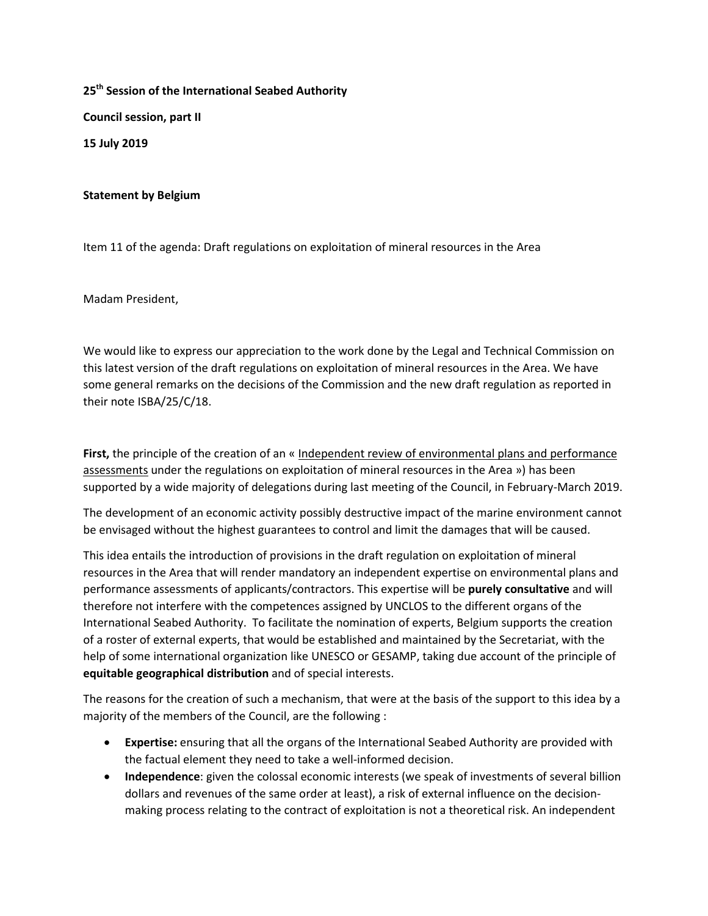**25th Session of the International Seabed Authority Council session, part II 15 July 2019**

## **Statement by Belgium**

Item 11 of the agenda: Draft regulations on exploitation of mineral resources in the Area

Madam President,

We would like to express our appreciation to the work done by the Legal and Technical Commission on this latest version of the draft regulations on exploitation of mineral resources in the Area. We have some general remarks on the decisions of the Commission and the new draft regulation as reported in their note ISBA/25/C/18.

**First,** the principle of the creation of an « Independent review of environmental plans and performance assessments under the regulations on exploitation of mineral resources in the Area ») has been supported by a wide majority of delegations during last meeting of the Council, in February-March 2019.

The development of an economic activity possibly destructive impact of the marine environment cannot be envisaged without the highest guarantees to control and limit the damages that will be caused.

This idea entails the introduction of provisions in the draft regulation on exploitation of mineral resources in the Area that will render mandatory an independent expertise on environmental plans and performance assessments of applicants/contractors. This expertise will be **purely consultative** and will therefore not interfere with the competences assigned by UNCLOS to the different organs of the International Seabed Authority. To facilitate the nomination of experts, Belgium supports the creation of a roster of external experts, that would be established and maintained by the Secretariat, with the help of some international organization like UNESCO or GESAMP, taking due account of the principle of **equitable geographical distribution** and of special interests.

The reasons for the creation of such a mechanism, that were at the basis of the support to this idea by a majority of the members of the Council, are the following :

- **Expertise:** ensuring that all the organs of the International Seabed Authority are provided with the factual element they need to take a well-informed decision.
- **Independence**: given the colossal economic interests (we speak of investments of several billion dollars and revenues of the same order at least), a risk of external influence on the decisionmaking process relating to the contract of exploitation is not a theoretical risk. An independent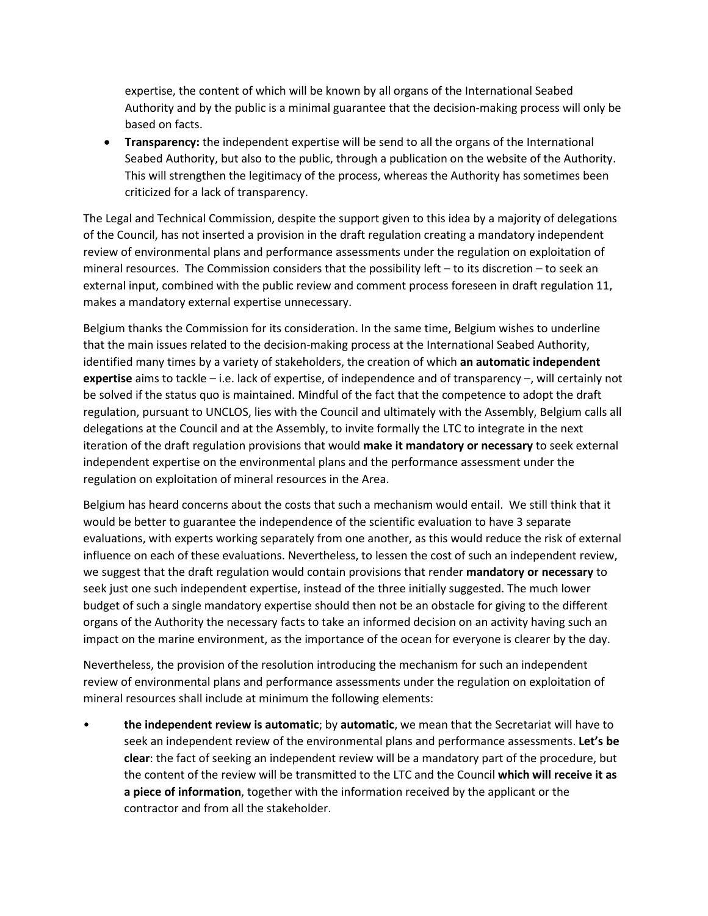expertise, the content of which will be known by all organs of the International Seabed Authority and by the public is a minimal guarantee that the decision-making process will only be based on facts.

• **Transparency:** the independent expertise will be send to all the organs of the International Seabed Authority, but also to the public, through a publication on the website of the Authority. This will strengthen the legitimacy of the process, whereas the Authority has sometimes been criticized for a lack of transparency.

The Legal and Technical Commission, despite the support given to this idea by a majority of delegations of the Council, has not inserted a provision in the draft regulation creating a mandatory independent review of environmental plans and performance assessments under the regulation on exploitation of mineral resources. The Commission considers that the possibility left – to its discretion – to seek an external input, combined with the public review and comment process foreseen in draft regulation 11, makes a mandatory external expertise unnecessary.

Belgium thanks the Commission for its consideration. In the same time, Belgium wishes to underline that the main issues related to the decision-making process at the International Seabed Authority, identified many times by a variety of stakeholders, the creation of which **an automatic independent expertise** aims to tackle – i.e. lack of expertise, of independence and of transparency –, will certainly not be solved if the status quo is maintained. Mindful of the fact that the competence to adopt the draft regulation, pursuant to UNCLOS, lies with the Council and ultimately with the Assembly, Belgium calls all delegations at the Council and at the Assembly, to invite formally the LTC to integrate in the next iteration of the draft regulation provisions that would **make it mandatory or necessary** to seek external independent expertise on the environmental plans and the performance assessment under the regulation on exploitation of mineral resources in the Area.

Belgium has heard concerns about the costs that such a mechanism would entail. We still think that it would be better to guarantee the independence of the scientific evaluation to have 3 separate evaluations, with experts working separately from one another, as this would reduce the risk of external influence on each of these evaluations. Nevertheless, to lessen the cost of such an independent review, we suggest that the draft regulation would contain provisions that render **mandatory or necessary** to seek just one such independent expertise, instead of the three initially suggested. The much lower budget of such a single mandatory expertise should then not be an obstacle for giving to the different organs of the Authority the necessary facts to take an informed decision on an activity having such an impact on the marine environment, as the importance of the ocean for everyone is clearer by the day.

Nevertheless, the provision of the resolution introducing the mechanism for such an independent review of environmental plans and performance assessments under the regulation on exploitation of mineral resources shall include at minimum the following elements:

• **the independent review is automatic**; by **automatic**, we mean that the Secretariat will have to seek an independent review of the environmental plans and performance assessments. **Let's be clear**: the fact of seeking an independent review will be a mandatory part of the procedure, but the content of the review will be transmitted to the LTC and the Council **which will receive it as a piece of information**, together with the information received by the applicant or the contractor and from all the stakeholder.